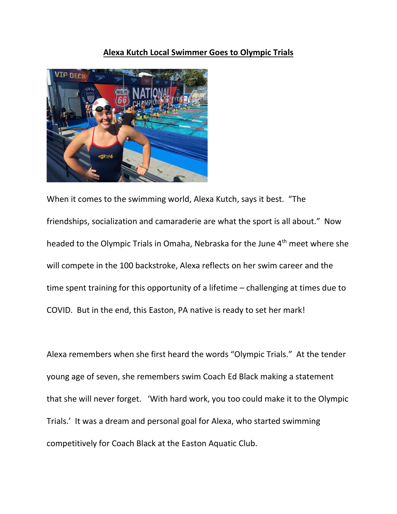## **Alexa Kutch Local Swimmer Goes to Olympic Trials**



When it comes to the swimming world, Alexa Kutch, says it best. "The friendships, socialization and camaraderie are what the sport is all about." Now headed to the Olympic Trials in Omaha, Nebraska for the June 4<sup>th</sup> meet where she will compete in the 100 backstroke, Alexa reflects on her swim career and the time spent training for this opportunity of a lifetime – challenging at times due to COVID. But in the end, this Easton, PA native is ready to set her mark!

Alexa remembers when she first heard the words "Olympic Trials." At the tender young age of seven, she remembers swim Coach Ed Black making a statement that she will never forget. 'With hard work, you too could make it to the Olympic Trials.' It was a dream and personal goal for Alexa, who started swimming competitively for Coach Black at the Easton Aquatic Club.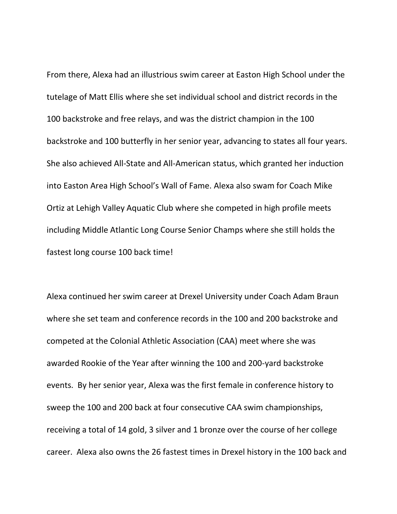From there, Alexa had an illustrious swim career at Easton High School under the tutelage of Matt Ellis where she set individual school and district records in the 100 backstroke and free relays, and was the district champion in the 100 backstroke and 100 butterfly in her senior year, advancing to states all four years. She also achieved All-State and All-American status, which granted her induction into Easton Area High School's Wall of Fame. Alexa also swam for Coach Mike Ortiz at Lehigh Valley Aquatic Club where she competed in high profile meets including Middle Atlantic Long Course Senior Champs where she still holds the fastest long course 100 back time!

Alexa continued her swim career at Drexel University under Coach Adam Braun where she set team and conference records in the 100 and 200 backstroke and competed at the Colonial Athletic Association (CAA) meet where she was awarded Rookie of the Year after winning the 100 and 200-yard backstroke events. By her senior year, Alexa was the first female in conference history to sweep the 100 and 200 back at four consecutive CAA swim championships, receiving a total of 14 gold, 3 silver and 1 bronze over the course of her college career. Alexa also owns the 26 fastest times in Drexel history in the 100 back and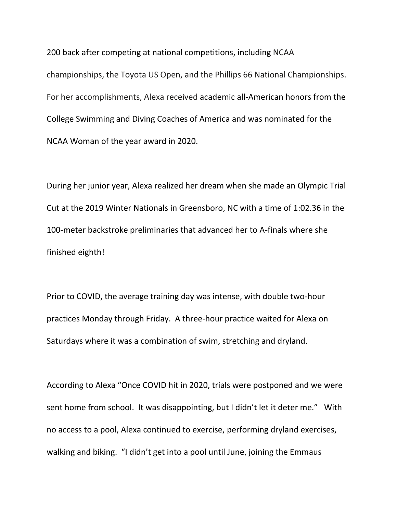200 back after competing at national competitions, including NCAA championships, the Toyota US Open, and the Phillips 66 National Championships. For her accomplishments, Alexa received academic all-American honors from the College Swimming and Diving Coaches of America and was nominated for the NCAA Woman of the year award in 2020.

During her junior year, Alexa realized her dream when she made an Olympic Trial Cut at the 2019 Winter Nationals in Greensboro, NC with a time of 1:02.36 in the 100-meter backstroke preliminaries that advanced her to A-finals where she finished eighth!

Prior to COVID, the average training day was intense, with double two-hour practices Monday through Friday. A three-hour practice waited for Alexa on Saturdays where it was a combination of swim, stretching and dryland.

According to Alexa "Once COVID hit in 2020, trials were postponed and we were sent home from school. It was disappointing, but I didn't let it deter me." With no access to a pool, Alexa continued to exercise, performing dryland exercises, walking and biking. "I didn't get into a pool until June, joining the Emmaus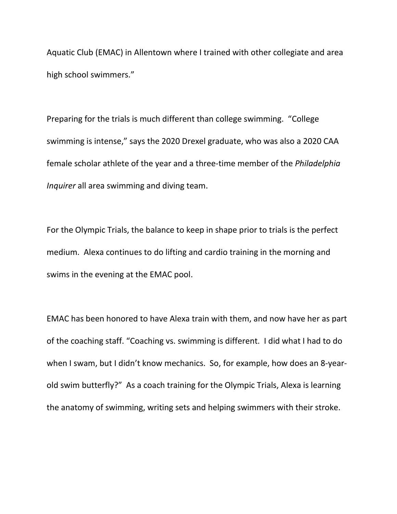Aquatic Club (EMAC) in Allentown where I trained with other collegiate and area high school swimmers."

Preparing for the trials is much different than college swimming. "College swimming is intense," says the 2020 Drexel graduate, who was also a 2020 CAA female scholar athlete of the year and a three-time member of the *Philadelphia Inquirer* all area swimming and diving team.

For the Olympic Trials, the balance to keep in shape prior to trials is the perfect medium. Alexa continues to do lifting and cardio training in the morning and swims in the evening at the EMAC pool.

EMAC has been honored to have Alexa train with them, and now have her as part of the coaching staff. "Coaching vs. swimming is different. I did what I had to do when I swam, but I didn't know mechanics. So, for example, how does an 8-yearold swim butterfly?" As a coach training for the Olympic Trials, Alexa is learning the anatomy of swimming, writing sets and helping swimmers with their stroke.